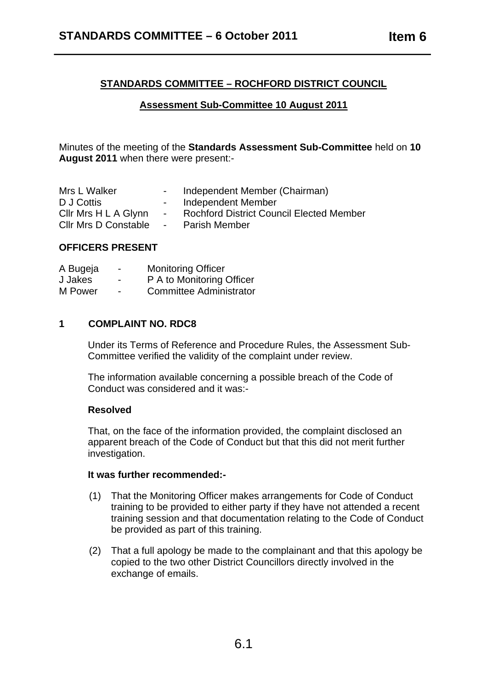# **STANDARDS COMMITTEE – ROCHFORD DISTRICT COUNCIL**

# **Assessment Sub-Committee 10 August 2011**

Minutes of the meeting of the **Standards Assessment Sub-Committee** held on **10 August 2011** when there were present:-

| Mrs L Walker                |                      | Independent Member (Chairman)                   |
|-----------------------------|----------------------|-------------------------------------------------|
| D J Cottis                  | $\sim$               | Independent Member                              |
| Cllr Mrs H L A Glynn        | $\sim$ 100 $\mu$     | <b>Rochford District Council Elected Member</b> |
| <b>CIIr Mrs D Constable</b> | $\sim 100$ m $^{-1}$ | <b>Parish Member</b>                            |

## **OFFICERS PRESENT**

| A Bugeja | -                        | <b>Monitoring Officer</b>      |
|----------|--------------------------|--------------------------------|
| J Jakes  | $\overline{\phantom{0}}$ | P A to Monitoring Officer      |
| M Power  | $\blacksquare$           | <b>Committee Administrator</b> |

#### **1 COMPLAINT NO. RDC8**

Under its Terms of Reference and Procedure Rules, the Assessment Sub-Committee verified the validity of the complaint under review.

The information available concerning a possible breach of the Code of Conduct was considered and it was:-

## **Resolved**

That, on the face of the information provided, the complaint disclosed an apparent breach of the Code of Conduct but that this did not merit further investigation.

### **It was further recommended:-**

- (1) That the Monitoring Officer makes arrangements for Code of Conduct training to be provided to either party if they have not attended a recent training session and that documentation relating to the Code of Conduct be provided as part of this training.
- (2) That a full apology be made to the complainant and that this apology be copied to the two other District Councillors directly involved in the exchange of emails.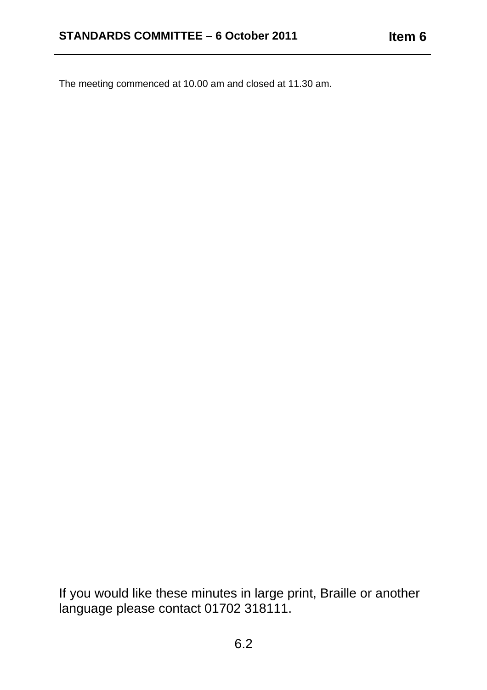The meeting commenced at 10.00 am and closed at 11.30 am.

If you would like these minutes in large print, Braille or another language please contact 01702 318111.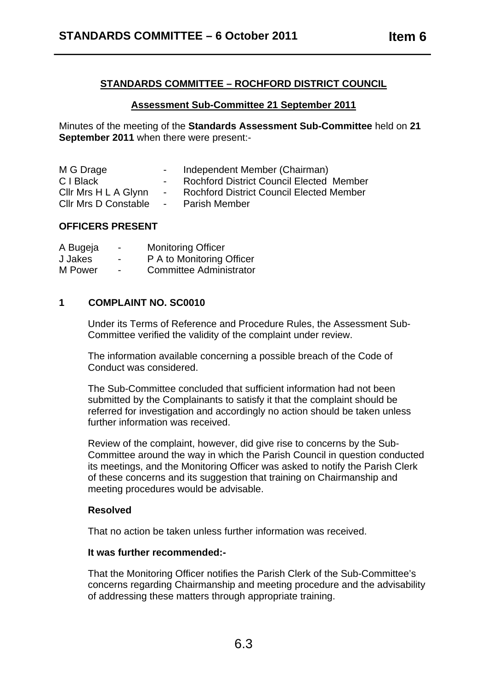# **STANDARDS COMMITTEE – ROCHFORD DISTRICT COUNCIL**

## **Assessment Sub-Committee 21 September 2011**

Minutes of the meeting of the **Standards Assessment Sub-Committee** held on **21 September 2011** when there were present:-

| M G Drage            |                      | Independent Member (Chairman)                   |
|----------------------|----------------------|-------------------------------------------------|
| C I Black            |                      | <b>Rochford District Council Elected Member</b> |
| Cllr Mrs H L A Glynn | $\sim$ 100 $\mu$     | <b>Rochford District Council Elected Member</b> |
| Cllr Mrs D Constable | $\sim 100$ m $^{-1}$ | <b>Parish Member</b>                            |

## **OFFICERS PRESENT**

| A Bugeja | $\blacksquare$ | <b>Monitoring Officer</b>      |
|----------|----------------|--------------------------------|
| J Jakes  | $\blacksquare$ | P A to Monitoring Officer      |
| M Power  | $\blacksquare$ | <b>Committee Administrator</b> |

#### **1 COMPLAINT NO. SC0010**

Under its Terms of Reference and Procedure Rules, the Assessment Sub-Committee verified the validity of the complaint under review.

The information available concerning a possible breach of the Code of Conduct was considered.

The Sub-Committee concluded that sufficient information had not been submitted by the Complainants to satisfy it that the complaint should be referred for investigation and accordingly no action should be taken unless further information was received.

Review of the complaint, however, did give rise to concerns by the Sub-Committee around the way in which the Parish Council in question conducted its meetings, and the Monitoring Officer was asked to notify the Parish Clerk of these concerns and its suggestion that training on Chairmanship and meeting procedures would be advisable.

### **Resolved**

That no action be taken unless further information was received.

### **It was further recommended:-**

That the Monitoring Officer notifies the Parish Clerk of the Sub-Committee's concerns regarding Chairmanship and meeting procedure and the advisability of addressing these matters through appropriate training.